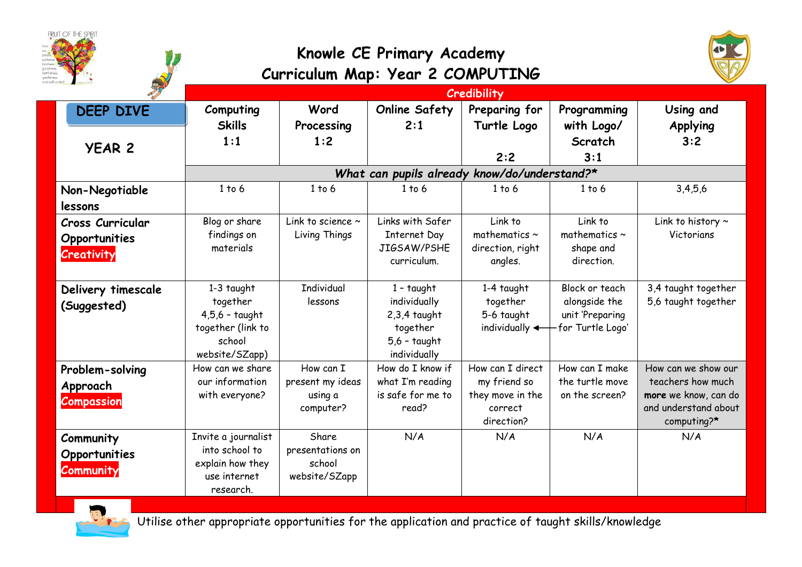|                                                        |                                                                                               | Knowle CE Primary Academy<br>Curriculum Map: Year 2 COMPUTING |                                                                                                     |                                                                               |                                                                        |                                                                                                         |
|--------------------------------------------------------|-----------------------------------------------------------------------------------------------|---------------------------------------------------------------|-----------------------------------------------------------------------------------------------------|-------------------------------------------------------------------------------|------------------------------------------------------------------------|---------------------------------------------------------------------------------------------------------|
|                                                        |                                                                                               |                                                               |                                                                                                     | <b>Credibility</b>                                                            |                                                                        |                                                                                                         |
| <b>DEEP DIVE</b>                                       | Computing<br><b>Skills</b><br>1:1                                                             | Word<br>Processing<br>1:2                                     | <b>Online Safety</b><br>2:1                                                                         | Preparing for<br>Turtle Logo                                                  | Programming<br>with Logo/<br>Scratch                                   | Using and<br><b>Applying</b><br>3:2                                                                     |
| <b>YEAR 2</b>                                          |                                                                                               |                                                               |                                                                                                     | 2:2                                                                           | 3:1                                                                    |                                                                                                         |
|                                                        | What can pupils already know/do/understand?*                                                  |                                                               |                                                                                                     |                                                                               |                                                                        |                                                                                                         |
| Non-Negotiable<br>lessons                              | 1 to 6                                                                                        | 1 to 6                                                        | $1$ to $6$                                                                                          | 1 to 6                                                                        | 1 to 6                                                                 | 3,4,5,6                                                                                                 |
| <b>Cross Curricular</b><br>Opportunities<br>Creativity | Blog or share<br>findings on<br>materials                                                     | Link to science $\sim$<br>Living Things                       | Links with Safer<br><b>Internet Day</b><br>JIGSAW/PSHE<br>curriculum.                               | Link to<br>mathematics $\sim$<br>direction, right<br>angles.                  | Link to<br>mathematics $\sim$<br>shape and<br>direction.               | Link to history $\sim$<br>Victorians                                                                    |
| Delivery timescale<br>(Suggested)                      | $1-3$ taught<br>together<br>$4,5,6$ - taught<br>together (link to<br>school<br>website/SZapp) | <b>Individual</b><br>lessons                                  | $1 - \text{taught}$<br>individually<br>$2,3,4$ taught<br>together<br>$5,6$ - taught<br>individually | 1-4 taught<br>together<br>5-6 taught<br>individually $\leftarrow$             | Block or teach<br>alongside the<br>unit 'Preparing<br>for Turtle Logo' | 3,4 taught together<br>5,6 taught together                                                              |
| Problem-solving<br>Approach<br><b>Compassion</b>       | How can we share<br>our information<br>with everyone?                                         | How can I<br>present my ideas<br>using a<br>computer?         | How do I know if<br>what I'm reading<br>is safe for me to<br>read?                                  | How can I direct<br>my friend so<br>they move in the<br>correct<br>direction? | How can I make<br>the turtle move<br>on the screen?                    | How can we show our<br>teachers how much<br>more we know, can do<br>and understand about<br>computing?* |
| Community<br>Opportunities<br><b>Community</b>         | Invite a journalist<br>into school to<br>explain how they<br>use internet<br>research.        | Share<br>presentations on<br>school<br>website/SZapp          | N/A                                                                                                 | N/A                                                                           | N/A                                                                    | N/A                                                                                                     |



Utilise other appropriate opportunities for the application and practice of taught skills/knowledge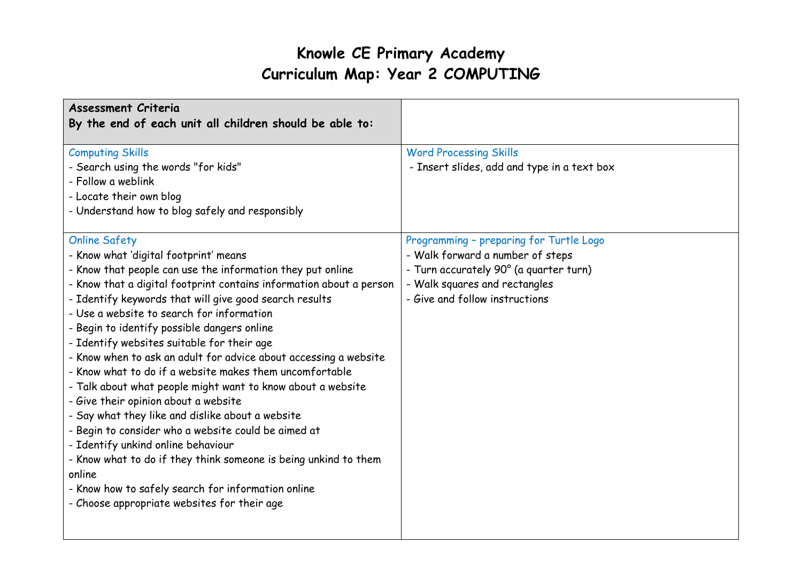| Assessment Criteria                                                                                                                                                                                                                                                                                                                                                                                                                                                                                                                                                                                                                                                                                                                                                                                                                                                                                                                                                             |                                                                                                                                                                                          |
|---------------------------------------------------------------------------------------------------------------------------------------------------------------------------------------------------------------------------------------------------------------------------------------------------------------------------------------------------------------------------------------------------------------------------------------------------------------------------------------------------------------------------------------------------------------------------------------------------------------------------------------------------------------------------------------------------------------------------------------------------------------------------------------------------------------------------------------------------------------------------------------------------------------------------------------------------------------------------------|------------------------------------------------------------------------------------------------------------------------------------------------------------------------------------------|
| By the end of each unit all children should be able to:                                                                                                                                                                                                                                                                                                                                                                                                                                                                                                                                                                                                                                                                                                                                                                                                                                                                                                                         |                                                                                                                                                                                          |
| <b>Computing Skills</b><br>- Search using the words "for kids"<br>- Follow a weblink<br>- Locate their own blog<br>- Understand how to blog safely and responsibly                                                                                                                                                                                                                                                                                                                                                                                                                                                                                                                                                                                                                                                                                                                                                                                                              | <b>Word Processing Skills</b><br>- Insert slides, add and type in a text box                                                                                                             |
| <b>Online Safety</b><br>- Know what 'digital footprint' means<br>- Know that people can use the information they put online<br>- Know that a digital footprint contains information about a person<br>- Identify keywords that will give good search results<br>- Use a website to search for information<br>- Begin to identify possible dangers online<br>- Identify websites suitable for their age<br>- Know when to ask an adult for advice about accessing a website<br>- Know what to do if a website makes them uncomfortable<br>- Talk about what people might want to know about a website<br>- Give their opinion about a website<br>- Say what they like and dislike about a website<br>- Begin to consider who a website could be aimed at<br>- Identify unkind online behaviour<br>- Know what to do if they think someone is being unkind to them<br>online<br>- Know how to safely search for information online<br>- Choose appropriate websites for their age | Programming - preparing for Turtle Logo<br>- Walk forward a number of steps<br>- Turn accurately 90° (a quarter turn)<br>- Walk squares and rectangles<br>- Give and follow instructions |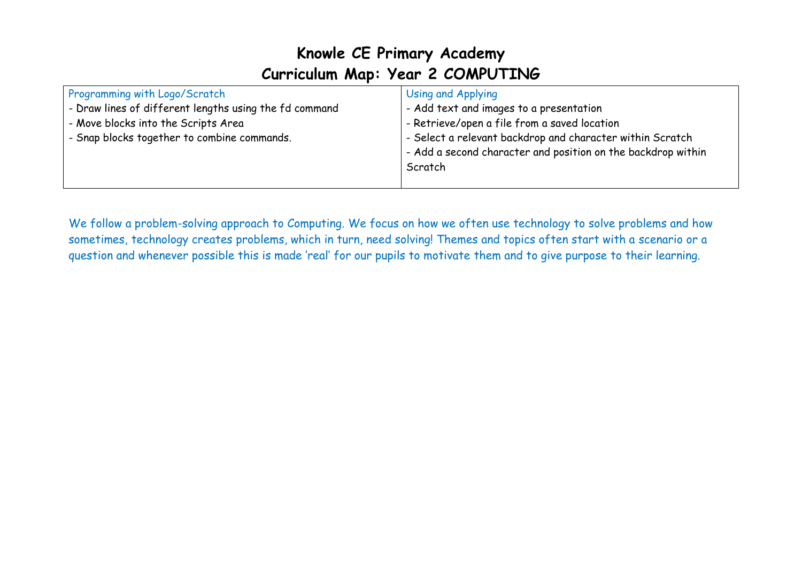| Programming with Logo/Scratch                          | Using and Applying                                           |
|--------------------------------------------------------|--------------------------------------------------------------|
| - Draw lines of different lengths using the fd command | - Add text and images to a presentation                      |
| - Move blocks into the Scripts Area                    | - Retrieve/open a file from a saved location                 |
| - Snap blocks together to combine commands.            | - Select a relevant backdrop and character within Scratch    |
|                                                        | - Add a second character and position on the backdrop within |
|                                                        | Scratch                                                      |
|                                                        |                                                              |

We follow a problem-solving approach to Computing. We focus on how we often use technology to solve problems and how sometimes, technology creates problems, which in turn, need solving! Themes and topics often start with a scenario or a question and whenever possible this is made 'real' for our pupils to motivate them and to give purpose to their learning.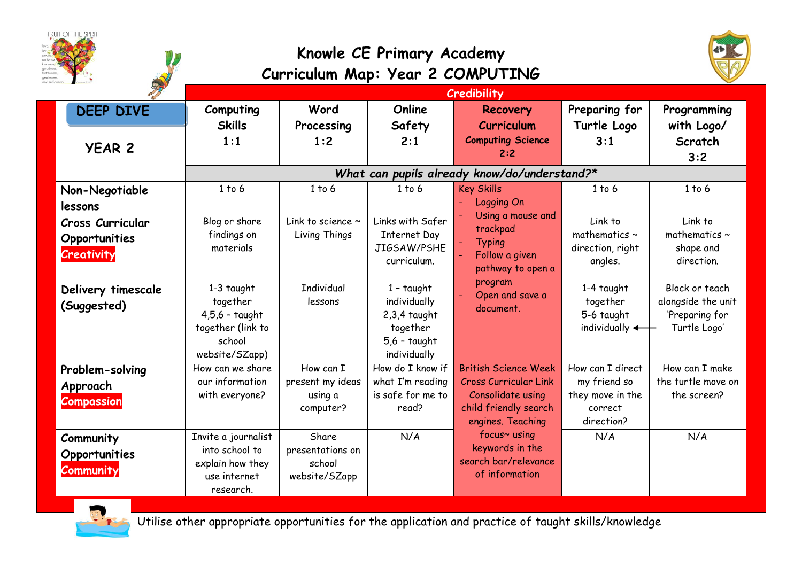|                                                               | Knowle CE Primary Academy<br>Curriculum Map: Year 2 COMPUTING                                 |                                                       |                                                                                                     |                                                                                                                                |                                                                               |                                                                        |
|---------------------------------------------------------------|-----------------------------------------------------------------------------------------------|-------------------------------------------------------|-----------------------------------------------------------------------------------------------------|--------------------------------------------------------------------------------------------------------------------------------|-------------------------------------------------------------------------------|------------------------------------------------------------------------|
|                                                               |                                                                                               |                                                       |                                                                                                     | Credibility                                                                                                                    |                                                                               |                                                                        |
| <b>DEEP DIVE</b><br><b>YEAR 2</b>                             | Computing<br><b>Skills</b><br>1:1                                                             | Word<br>Processing<br>1:2                             | Online<br>Safety<br>2:1                                                                             | <b>Recovery</b><br>Curriculum<br><b>Computing Science</b><br>2:2                                                               | Preparing for<br>Turtle Logo<br>3:1                                           | Programming<br>with Logo/<br>Scratch<br>3:2                            |
|                                                               |                                                                                               |                                                       |                                                                                                     | What can pupils already know/do/understand?*                                                                                   |                                                                               |                                                                        |
| Non-Negotiable<br>lessons                                     | 1 to 6                                                                                        | 1 to 6                                                | 1 to 6                                                                                              | <b>Key Skills</b><br><b>Logging On</b>                                                                                         | 1 to 6                                                                        | 1 to 6                                                                 |
| <b>Cross Curricular</b><br>Opportunities<br><b>Creativity</b> | Blog or share<br>findings on<br>materials                                                     | Link to science ~<br>Living Things                    | Links with Safer<br>Internet Day<br>JIGSAW/PSHE<br>curriculum.                                      | Using a mouse and<br>trackpad<br><b>Typing</b><br>Follow a given<br>pathway to open a                                          | Link to<br>mathematics $\sim$<br>direction, right<br>angles.                  | Link to<br>mathematics $\sim$<br>shape and<br>direction.               |
| Delivery timescale<br>(Suggested)                             | $1-3$ taught<br>together<br>$4,5,6$ - taught<br>together (link to<br>school<br>website/SZapp) | <b>Individual</b><br>lessons                          | $1 - \text{taught}$<br>individually<br>$2,3,4$ taught<br>together<br>$5,6$ - taught<br>individually | program<br>Open and save a<br>document.                                                                                        | 1-4 taught<br>together<br>5-6 taught<br>individually $\leftarrow$             | Block or teach<br>alongside the unit<br>'Preparing for<br>Turtle Logo' |
| Problem-solving<br>Approach<br><b>Compassion</b>              | How can we share<br>our information<br>with everyone?                                         | How can I<br>present my ideas<br>using a<br>computer? | How do I know if<br>what I'm reading<br>is safe for me to<br>read?                                  | <b>British Science Week</b><br><b>Cross Curricular Link</b><br>Consolidate using<br>child friendly search<br>engines. Teaching | How can I direct<br>my friend so<br>they move in the<br>correct<br>direction? | How can I make<br>the turtle move on<br>the screen?                    |
| Community<br>Opportunities<br>Community                       | Invite a journalist<br>into school to<br>explain how they<br>use internet<br>research.        | Share<br>presentations on<br>school<br>website/SZapp  | N/A                                                                                                 | focus~ using<br>keywords in the<br>search bar/relevance<br>of information                                                      | N/A                                                                           | N/A                                                                    |



Utilise other appropriate opportunities for the application and practice of taught skills/knowledge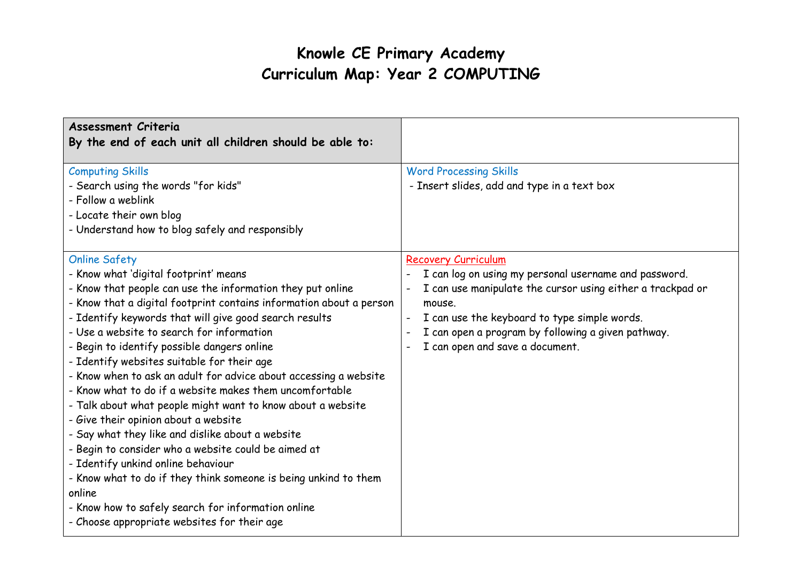| <b>Assessment Criteria</b><br>By the end of each unit all children should be able to:                                                                                                                                                                                                                                                                                                                                                                                                                                                                                                                                                                                                                                                                                                                                                                                                                                                                                           |                                                                                                                                                                                                                                                                                               |
|---------------------------------------------------------------------------------------------------------------------------------------------------------------------------------------------------------------------------------------------------------------------------------------------------------------------------------------------------------------------------------------------------------------------------------------------------------------------------------------------------------------------------------------------------------------------------------------------------------------------------------------------------------------------------------------------------------------------------------------------------------------------------------------------------------------------------------------------------------------------------------------------------------------------------------------------------------------------------------|-----------------------------------------------------------------------------------------------------------------------------------------------------------------------------------------------------------------------------------------------------------------------------------------------|
| <b>Computing Skills</b><br>- Search using the words "for kids"<br>- Follow a weblink<br>- Locate their own blog<br>- Understand how to blog safely and responsibly                                                                                                                                                                                                                                                                                                                                                                                                                                                                                                                                                                                                                                                                                                                                                                                                              | <b>Word Processing Skills</b><br>- Insert slides, add and type in a text box                                                                                                                                                                                                                  |
| <b>Online Safety</b><br>- Know what 'digital footprint' means<br>- Know that people can use the information they put online<br>- Know that a digital footprint contains information about a person<br>- Identify keywords that will give good search results<br>- Use a website to search for information<br>- Begin to identify possible dangers online<br>- Identify websites suitable for their age<br>- Know when to ask an adult for advice about accessing a website<br>- Know what to do if a website makes them uncomfortable<br>- Talk about what people might want to know about a website<br>- Give their opinion about a website<br>- Say what they like and dislike about a website<br>- Begin to consider who a website could be aimed at<br>- Identify unkind online behaviour<br>- Know what to do if they think someone is being unkind to them<br>online<br>- Know how to safely search for information online<br>- Choose appropriate websites for their age | Recovery Curriculum<br>I can log on using my personal username and password.<br>I can use manipulate the cursor using either a trackpad or<br>mouse.<br>I can use the keyboard to type simple words.<br>I can open a program by following a given pathway.<br>I can open and save a document. |